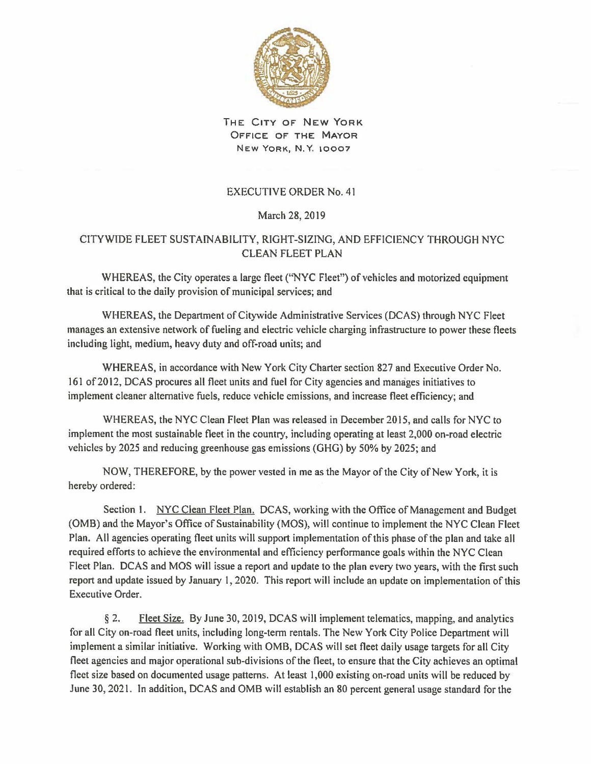

THE CITY OF NEW YORK OFFICE OF THE MAYOR NEW YORK, N. Y. 10007

## EXECUTIVE ORDER No. 41

## March 28, 2019

## CITYWIDE FLEET SUSTAINABILITY, RIGHT-SIZING, AND EFFICIENCY THROUGH NYC CLEAN FLEET PLAN

WHEREAS, the City operates a large fleet ("NYC Fleet") of vehicles and motorized equipment that is critical to the daily provision of municipal services; and

WHEREAS, the Department of Citywide Administrative Services (DCAS) through NYC Fleet manages an extensive network of fueling and electric vehicle charging infrastructure to power these fleets including light, medium, heavy duty and off-road units; and

WHEREAS, in accordance with New York City Charter section 827 and Executive Order No. 161 of 2012, DCAS procures all fleet units and fuel for City agencies and manages initiatives to implement cleaner alternative fuels, reduce vehicle emissions, and increase fleet efficiency; and

WHEREAS, the NYC Clean Fleet Plan was released in December 2015, and calls for NYC to implement the most sustainable fleet in the country, including operating at least 2,000 on-road electric vehicles by 2025 and reducing greenhouse gas emissions (GHG) by 50% by 2025; and

NOW, THEREFORE, by the power vested in me as the Mayor of the City of New York, it is hereby ordered:

Section 1. NYC Clean Fleet Plan. DCAS, working with the Office of Management and Budget (OMB) and the Mayor's Office of Sustainability (MOS), will continue to implement the NYC Clean Fleet Plan. All agencies operating fleet units will support implementation of this phase of the plan and take all required efforts to achieve the environmental and efficiency performance goals within the NYC Clean Fleet Plan. DCAS and MOS will issue a report and update to the plan every two years, with the first such report and update issued by January I, 2020. This report will include an update on implementation of this Executive Order.

§ 2. Fleet Size. By June 30, 2019, DCAS will implement telematics, mapping, and analytics for all City on-road fleet units, including long-term rentals. The New York City Police Department will implement a similar initiative. Working with OMB, DCAS will set fleet daily usage targets for all City fleet agencies and major operational sub-divisions of the fleet, to ensure that the City achieves an optimal fleet size based on documented usage patterns. At least 1,000 existing on-road units will be reduced by June 30, 2021. In addition, DCAS and OMB will establish an 80 percent general usage standard for the